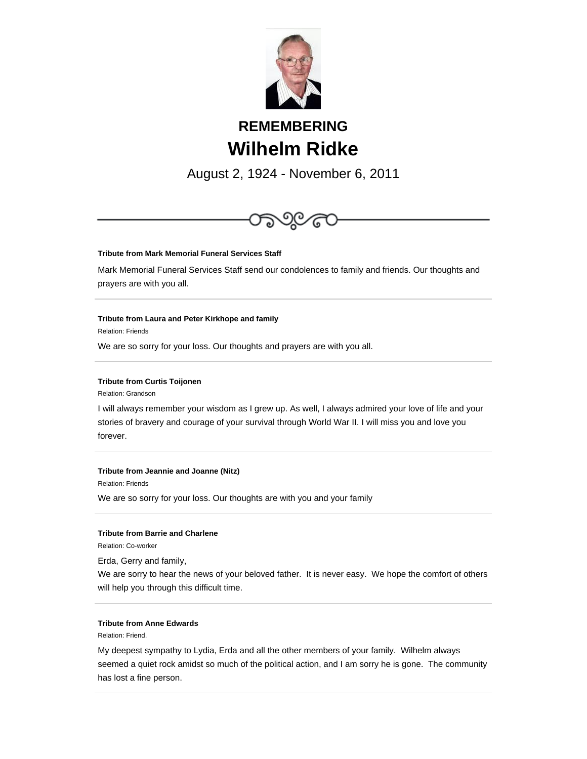

## **REMEMBERING Wilhelm Ridke**

August 2, 1924 - November 6, 2011



## **Tribute from Jeannie and Joanne (Nitz)**

Relation: Friends

We are so sorry for your loss. Our thoughts are with you and your family

## **Tribute from Barrie and Charlene**

Relation: Co-worker

Erda, Gerry and family,

We are sorry to hear the news of your beloved father. It is never easy. We hope the comfort of others will help you through this difficult time.

## **Tribute from Anne Edwards**

Relation: Friend.

My deepest sympathy to Lydia, Erda and all the other members of your family. Wilhelm always seemed a quiet rock amidst so much of the political action, and I am sorry he is gone. The community has lost a fine person.